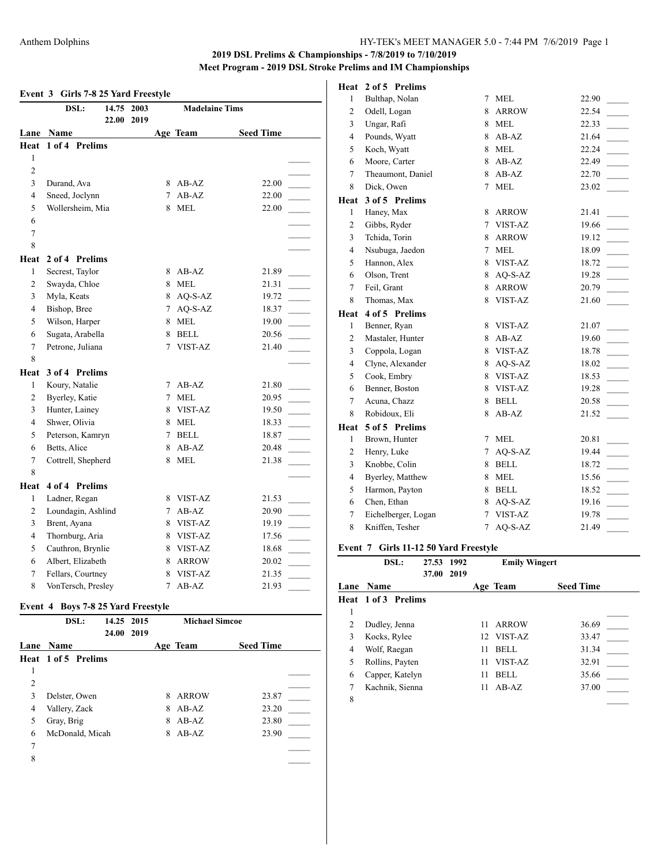# **Event 3 Girls 7-8 25 Yard Freestyle**

|                | DSL:               | 14.75 2003<br>22.00<br>2019 |                 | <b>Madelaine Tims</b> |                                   |  |  |
|----------------|--------------------|-----------------------------|-----------------|-----------------------|-----------------------------------|--|--|
|                | Lane Name          |                             |                 | Age Team              | <b>Seed Time</b>                  |  |  |
| Heat           | 1 of 4 Prelims     |                             |                 |                       |                                   |  |  |
| 1              |                    |                             |                 |                       |                                   |  |  |
| 2              |                    |                             |                 |                       |                                   |  |  |
| $\overline{3}$ | Durand, Ava        |                             | 8               | $AB-AZ$               | 22.00                             |  |  |
| $\overline{4}$ | Sneed, Joclynn     |                             | 7               | $AB-AZ$               | 22.00                             |  |  |
| 5              | Wollersheim, Mia   |                             | 8               | <b>MEL</b>            | 22.00                             |  |  |
| 6              |                    |                             |                 |                       |                                   |  |  |
| $\overline{7}$ |                    |                             |                 |                       |                                   |  |  |
| 8              |                    |                             |                 |                       |                                   |  |  |
| Heat           | 2 of 4 Prelims     |                             |                 |                       |                                   |  |  |
| 1              | Secrest, Taylor    |                             | 8               | $AB-AZ$               | 21.89                             |  |  |
| $\mathfrak{2}$ | Swayda, Chloe      |                             | 8               | <b>MEL</b>            | 21.31                             |  |  |
| 3              | Myla, Keats        |                             |                 | 8 AQ-S-AZ             | 19.72                             |  |  |
| $\overline{4}$ | Bishop, Bree       |                             | $7\overline{ }$ | AQ-S-AZ               | 18.37                             |  |  |
| 5              | Wilson, Harper     |                             | 8               | MEL                   | 19.00                             |  |  |
| 6              | Sugata, Arabella   |                             | 8               | <b>BELL</b>           | 20.56                             |  |  |
| $\overline{7}$ | Petrone, Juliana   |                             | 7               | VIST-AZ               | 21.40                             |  |  |
| 8              |                    |                             |                 |                       |                                   |  |  |
| Heat           | 3 of 4 Prelims     |                             |                 |                       |                                   |  |  |
| 1              | Koury, Natalie     |                             | 7               | $AB-AZ$               | 21.80                             |  |  |
| 2              | Byerley, Katie     |                             | 7               | <b>MEL</b>            | 20.95                             |  |  |
| 3              | Hunter, Lainey     |                             | 8               | VIST-AZ               | 19.50<br>$\overline{\phantom{a}}$ |  |  |
| $\overline{4}$ | Shwer, Olivia      |                             | 8               | <b>MEL</b>            | 18.33                             |  |  |
| 5              | Peterson, Kamryn   |                             | 7               | <b>BELL</b>           | 18.87                             |  |  |
| 6              | Betts, Alice       |                             | 8               | $AB-AZ$               | 20.48                             |  |  |
| $\overline{7}$ | Cottrell, Shepherd |                             | 8               | <b>MEL</b>            | 21.38                             |  |  |
| 8              |                    |                             |                 |                       |                                   |  |  |
| Heat           | 4 of 4 Prelims     |                             |                 |                       |                                   |  |  |
| $\mathbf{1}$   | Ladner, Regan      |                             | 8               | VIST-AZ               | 21.53                             |  |  |
| $\overline{c}$ | Loundagin, Ashlind |                             | 7               | $AB-AZ$               | 20.90                             |  |  |
| 3              | Brent, Ayana       |                             | 8               | VIST-AZ               | 19.19                             |  |  |
| $\overline{4}$ | Thornburg, Aria    |                             | 8               | VIST-AZ               | 17.56                             |  |  |
| 5              | Cauthron, Brynlie  |                             | 8               | VIST-AZ               | 18.68                             |  |  |
| 6              | Albert, Elizabeth  |                             | 8               | <b>ARROW</b>          | 20.02                             |  |  |
| 7              | Fellars, Courtney  |                             | 8               | VIST-AZ               | 21.35                             |  |  |
| 8              | VonTersch, Presley |                             | 7               | $AB-AZ$               | 21.93                             |  |  |

### **Event 4 Boys 7-8 25 Yard Freestyle**

|      | DSL:                | 14.25 2015 |      |   | <b>Michael Simcoe</b> |                  |
|------|---------------------|------------|------|---|-----------------------|------------------|
|      |                     | 24.00      | 2019 |   |                       |                  |
| Lane | <b>Name</b>         |            |      |   | Age Team              | <b>Seed Time</b> |
|      | Heat 1 of 5 Prelims |            |      |   |                       |                  |
| 1    |                     |            |      |   |                       |                  |
| 2    |                     |            |      |   |                       |                  |
| 3    | Delster, Owen       |            |      | 8 | ARROW                 | 23.87            |
| 4    | Vallery, Zack       |            |      | 8 | $AB-AZ$               | 23.20            |
| 5    | Gray, Brig          |            |      | 8 | $AB-AZ$               | 23.80            |
| 6    | McDonald, Micah     |            |      | 8 | $AB-AZ$               | 23.90            |
| 7    |                     |            |      |   |                       |                  |
| 8    |                     |            |      |   |                       |                  |
|      |                     |            |      |   |                       |                  |

#### **Heat 2 of 5 Prelims**

| 1              | Bulthap, Nolan      | 7              | <b>MEL</b>   | 22.90 |  |
|----------------|---------------------|----------------|--------------|-------|--|
| $\mathbf{2}$   | Odell, Logan        | 8              | <b>ARROW</b> | 22.54 |  |
| 3              | Ungar, Rafi         | 8              | <b>MEL</b>   | 22.33 |  |
| $\overline{4}$ | Pounds, Wyatt       | 8              | $AB-AZ$      | 21.64 |  |
| 5              | Koch, Wyatt         | 8              | <b>MEL</b>   | 22.24 |  |
| 6              | Moore, Carter       | 8              | $AB-AZ$      | 22.49 |  |
| $\overline{7}$ | Theaumont, Daniel   | 8              | $AB-AZ$      | 22.70 |  |
| 8              | Dick, Owen          | 7              | <b>MEL</b>   | 23.02 |  |
| Heat           | 3 of 5 Prelims      |                |              |       |  |
| $\mathbf{1}$   | Haney, Max          | 8              | <b>ARROW</b> | 21.41 |  |
| $\overline{c}$ | Gibbs, Ryder        | $\overline{7}$ | VIST-AZ      | 19.66 |  |
| 3              | Tchida, Torin       | 8              | <b>ARROW</b> | 19.12 |  |
| $\overline{4}$ | Nsubuga, Jaedon     | 7              | <b>MEL</b>   | 18.09 |  |
| 5              | Hannon, Alex        | 8              | VIST-AZ      | 18.72 |  |
| 6              | Olson, Trent        | 8              | $AO-S-AZ$    | 19.28 |  |
| $\overline{7}$ | Feil, Grant         | 8              | ARROW        | 20.79 |  |
| 8              | Thomas, Max         | 8              | VIST-AZ      | 21.60 |  |
| Heat           | 4 of 5 Prelims      |                |              |       |  |
| 1              | Benner, Ryan        | 8              | VIST-AZ      | 21.07 |  |
| $\overline{c}$ | Mastaler, Hunter    | 8              | $AB-AZ$      | 19.60 |  |
| 3              | Coppola, Logan      | 8              | VIST-AZ      | 18.78 |  |
| $\overline{4}$ | Clyne, Alexander    | 8              | $AO-S-AZ$    | 18.02 |  |
| 5              | Cook, Embry         | 8              | VIST-AZ      | 18.53 |  |
| 6              | Benner, Boston      | 8              | VIST-AZ      | 19.28 |  |
| $\tau$         | Acuna, Chazz        | 8              | <b>BELL</b>  | 20.58 |  |
| 8              | Robidoux, Eli       | 8              | $AB-AZ$      | 21.52 |  |
| Heat           | 5 of 5 Prelims      |                |              |       |  |
| $\mathbf{1}$   | Brown, Hunter       | 7              | <b>MEL</b>   | 20.81 |  |
| $\overline{c}$ | Henry, Luke         | 7              | AQ-S-AZ      | 19.44 |  |
| 3              | Knobbe, Colin       | 8              | <b>BELL</b>  | 18.72 |  |
| $\overline{4}$ | Byerley, Matthew    | 8              | <b>MEL</b>   | 15.56 |  |
| 5              | Harmon, Payton      | 8              | <b>BELL</b>  | 18.52 |  |
| 6              | Chen, Ethan         | 8              | AQ-S-AZ      | 19.16 |  |
| $\overline{7}$ | Eichelberger, Logan | $\overline{7}$ | VIST-AZ      | 19.78 |  |
| 8              | Kniffen, Tesher     | $\overline{7}$ | AQ-S-AZ      | 21.49 |  |
|                |                     |                |              |       |  |

#### **Event 7 Girls 11-12 50 Yard Freestyle**

|   | DSL:                | 27.53 1992 |      |    | <b>Emily Wingert</b> |                  |
|---|---------------------|------------|------|----|----------------------|------------------|
|   |                     | 37.00      | 2019 |    |                      |                  |
|   | <b>Lane Name</b>    |            |      |    | Age Team             | <b>Seed Time</b> |
|   | Heat 1 of 3 Prelims |            |      |    |                      |                  |
| 1 |                     |            |      |    |                      |                  |
| 2 | Dudley, Jenna       |            |      | 11 | <b>ARROW</b>         | 36.69            |
| 3 | Kocks, Rylee        |            |      |    | 12 VIST-AZ           | 33.47            |
| 4 | Wolf, Raegan        |            |      | 11 | <b>BELL</b>          | 31.34            |
| 5 | Rollins, Payten     |            |      | 11 | VIST-AZ              | 32.91            |
| 6 | Capper, Katelyn     |            |      | 11 | <b>BELL</b>          | 35.66            |
| 7 | Kachnik, Sienna     |            |      | 11 | $AB-AZ$              | 37.00            |
| 8 |                     |            |      |    |                      |                  |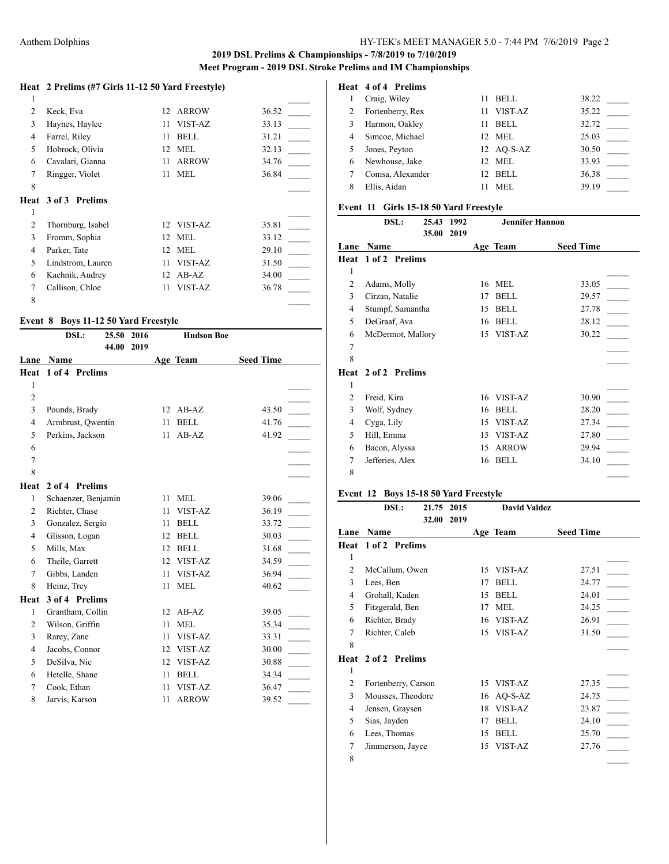### **Heat 2 Prelims (#7 Girls 11-12 50 Yard Freestyle)**

| 1 |                            |                  |              |       |
|---|----------------------------|------------------|--------------|-------|
| 2 | Keck, Eva                  |                  | 12 ARROW     | 36.52 |
| 3 | Haynes, Haylee             | 11               | VIST-AZ      | 33.13 |
| 4 | Farrel, Riley              | 11               | <b>BELL</b>  | 31.21 |
| 5 | Hobrock, Olivia            | 12 <sup>12</sup> | <b>MEL</b>   | 32.13 |
| 6 | Cavalari, Gianna           | 11               | <b>ARROW</b> | 34.76 |
| 7 | Ringger, Violet            | 11               | <b>MEL</b>   | 36.84 |
| 8 |                            |                  |              |       |
|   | <b>Heat 3 of 3 Prelims</b> |                  |              |       |
| 1 |                            |                  |              |       |
|   |                            |                  |              |       |
| 2 | Thornburg, Isabel          |                  | 12 VIST-AZ   | 35.81 |
| 3 | Fromm, Sophia              | 12 <sup>12</sup> | MEL.         | 33.12 |
| 4 | Parker, Tate               |                  | 12 MEL       | 29.10 |
| 5 | Lindstrom, Lauren          | 11               | VIST-AZ      | 31.50 |
| 6 | Kachnik, Audrey            | 12               | $AB-AZ$      | 34.00 |
| 7 | Callison, Chloe            | 11               | VIST-AZ      | 36.78 |

### **Event 8 Boys 11-12 50 Yard Freestyle**

|                | DSL:                | 25.50 | 2016 |    | <b>Hudson Boe</b> |                  |  |
|----------------|---------------------|-------|------|----|-------------------|------------------|--|
|                |                     | 44.00 | 2019 |    |                   |                  |  |
| Lane           | Name                |       |      |    | Age Team          | <b>Seed Time</b> |  |
| Heat           | 1 of 4 Prelims      |       |      |    |                   |                  |  |
| 1              |                     |       |      |    |                   |                  |  |
| $\overline{c}$ |                     |       |      |    |                   |                  |  |
| 3              | Pounds, Brady       |       |      | 12 | $AB-AZ$           | 43.50            |  |
| $\overline{4}$ | Armbrust, Owentin   |       |      | 11 | <b>BELL</b>       | 41.76            |  |
| 5              | Perkins, Jackson    |       |      | 11 | $AB-AZ$           | 41.92            |  |
| 6              |                     |       |      |    |                   |                  |  |
| 7              |                     |       |      |    |                   |                  |  |
| 8              |                     |       |      |    |                   |                  |  |
| Heat           | 2 of 4 Prelims      |       |      |    |                   |                  |  |
| 1              | Schaenzer, Benjamin |       |      | 11 | <b>MEL</b>        | 39.06            |  |
| $\overline{2}$ | Richter, Chase      |       |      | 11 | VIST-AZ           | 36.19            |  |
| 3              | Gonzalez, Sergio    |       |      | 11 | <b>BELL</b>       | 33.72            |  |
| $\overline{4}$ | Glisson, Logan      |       |      | 12 | <b>BELL</b>       | 30.03            |  |
| 5              | Mills, Max          |       |      | 12 | <b>BELL</b>       | 31.68            |  |
| 6              | Theile, Garrett     |       |      | 12 | VIST-AZ           | 34.59            |  |
| $\tau$         | Gibbs, Landen       |       |      | 11 | VIST-AZ           | 36.94            |  |
| 8              | Heinz, Trey         |       |      | 11 | <b>MEL</b>        | 40.62            |  |
| Heat           | 3 of 4 Prelims      |       |      |    |                   |                  |  |
| 1              | Grantham, Collin    |       |      | 12 | $AB-AZ$           | 39.05            |  |
| $\overline{c}$ | Wilson, Griffin     |       |      | 11 | <b>MEL</b>        | 35.34            |  |
| 3              | Rarey, Zane         |       |      | 11 | <b>VIST-AZ</b>    | 33.31            |  |
| $\overline{4}$ | Jacobs, Connor      |       |      | 12 | VIST-AZ           | 30.00            |  |
| 5              | DeSilva, Nic        |       |      | 12 | VIST-AZ           | 30.88            |  |
| 6              | Hetelle, Shane      |       |      | 11 | <b>BELL</b>       | 34.34            |  |
| 7              | Cook, Ethan         |       |      | 11 | VIST-AZ           | 36.47            |  |
| 8              | Jarvis, Karson      |       |      | 11 | <b>ARROW</b>      | 39.52            |  |
|                |                     |       |      |    |                   |                  |  |

# **Heat 4 of 4 Prelims**

|   | Craig, Wiley     |              | <b>BELL</b>  | 38.22 |  |
|---|------------------|--------------|--------------|-------|--|
|   | Fortenberry, Rex | 11           | VIST-AZ      | 35.22 |  |
| 3 | Harmon, Oakley   | $\mathbf{L}$ | <b>BELL</b>  | 32.72 |  |
| 4 | Simcoe, Michael  |              | 12 MEL       | 25.03 |  |
| 5 | Jones, Peyton    |              | $12$ AQ-S-AZ | 30.50 |  |
| 6 | Newhouse, Jake   |              | 12 MEL       | 33.93 |  |
|   | Comsa, Alexander |              | 12 BELL      | 36.38 |  |
| 8 | Ellis, Aidan     |              | MEL          | 39.19 |  |
|   |                  |              |              |       |  |

#### **Event 11 Girls 15-18 50 Yard Freestyle**

|                | DSL:                       | 25.43<br>35.00 | 1992<br>2019 |    | <b>Jennifer Hannon</b> |                  |  |
|----------------|----------------------------|----------------|--------------|----|------------------------|------------------|--|
| Lane           | Name                       |                |              |    | Age Team               | <b>Seed Time</b> |  |
|                | Heat 1 of 2 Prelims        |                |              |    |                        |                  |  |
| 1              |                            |                |              |    |                        |                  |  |
| $\overline{2}$ | Adams, Molly               |                |              | 16 | <b>MEL</b>             | 33.05            |  |
| 3              | Cirzan, Natalie            |                |              | 17 | <b>BELL</b>            | 29.57            |  |
| 4              | Stumpf, Samantha           |                |              | 15 | <b>BELL</b>            | 27.78            |  |
| 5              | DeGraaf, Ava               |                |              | 16 | <b>BELL</b>            | 28.12            |  |
| 6              | McDermot, Mallory          |                |              |    | 15 VIST-AZ             | 30.22            |  |
| 7              |                            |                |              |    |                        |                  |  |
| 8              |                            |                |              |    |                        |                  |  |
|                | <b>Heat 2 of 2 Prelims</b> |                |              |    |                        |                  |  |
| 1              |                            |                |              |    |                        |                  |  |
| 2              | Freid, Kira                |                |              | 16 | VIST-AZ                | 30.90            |  |
| 3              | Wolf, Sydney               |                |              | 16 | <b>BELL</b>            | 28.20            |  |
| 4              | Cyga, Lily                 |                |              | 15 | VIST-AZ                | 27.34            |  |
| 5              | Hill, Emma                 |                |              | 15 | VIST-AZ                | 27.80            |  |
| 6              | Bacon, Alyssa              |                |              | 15 | <b>ARROW</b>           | 29.94            |  |
| 7              | Jefferies, Alex            |                |              | 16 | <b>BELL</b>            | 34.10            |  |
| 8              |                            |                |              |    |                        |                  |  |
|                |                            |                |              |    |                        |                  |  |

### **Event 12 Boys 15-18 50 Yard Freestyle**

|                | DSL:                       | 21.75 | 2015 |    | <b>David Valdez</b> |                  |  |
|----------------|----------------------------|-------|------|----|---------------------|------------------|--|
| Lane           | Name                       | 32.00 | 2019 |    | Age Team            | <b>Seed Time</b> |  |
|                | <b>Heat 1 of 2 Prelims</b> |       |      |    |                     |                  |  |
| 1              |                            |       |      |    |                     |                  |  |
| $\overline{2}$ | McCallum, Owen             |       |      | 15 | VIST-AZ             | 27.51            |  |
| 3              | Lees, Ben                  |       |      | 17 | <b>BELL</b>         | 24.77            |  |
| 4              | Grohall, Kaden             |       |      | 15 | <b>BELL</b>         | 24.01            |  |
| 5              | Fitzgerald, Ben            |       |      | 17 | <b>MEL</b>          | 24.25            |  |
| 6              | Richter, Brady             |       |      | 16 | VIST-AZ             | 26.91            |  |
| 7              | Richter, Caleb             |       |      | 15 | VIST-AZ             | 31.50            |  |
| 8              |                            |       |      |    |                     |                  |  |
| Heat           | 2 of 2 Prelims             |       |      |    |                     |                  |  |
| 1              |                            |       |      |    |                     |                  |  |
| $\overline{2}$ | Fortenberry, Carson        |       |      | 15 | VIST-AZ             | 27.35            |  |
| 3              | Mousses, Theodore          |       |      | 16 | $AQ-S-AZ$           | 24.75            |  |
| 4              | Jensen, Graysen            |       |      | 18 | VIST-AZ             | 23.87            |  |
| 5              | Sias, Jayden               |       |      | 17 | <b>BELL</b>         | 24.10            |  |
| 6              | Lees, Thomas               |       |      | 15 | <b>BELL</b>         | 25.70            |  |
| 7              | Jimmerson, Jayce           |       |      | 15 | VIST-AZ             | 27.76            |  |
| 8              |                            |       |      |    |                     |                  |  |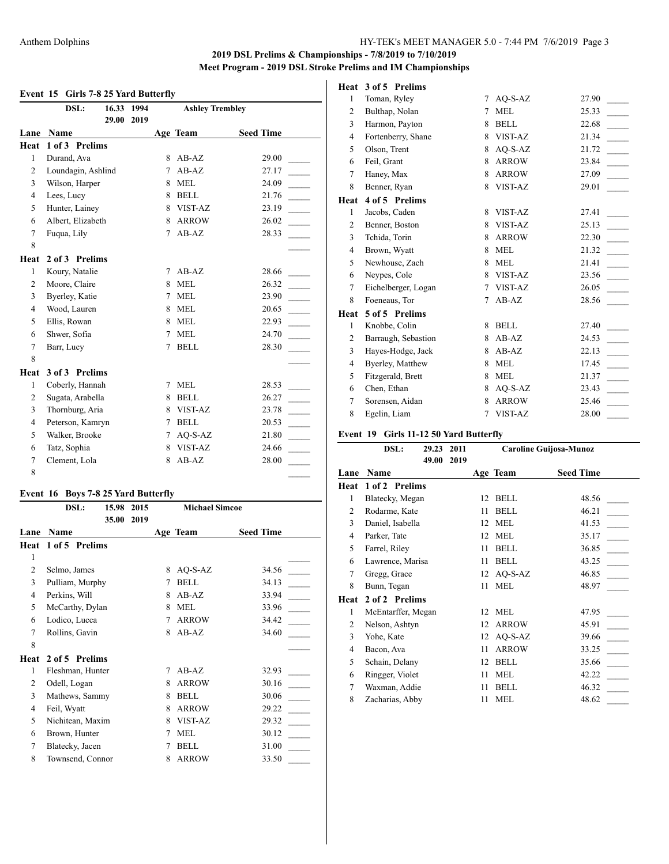# **2019 DSL Prelims & Championships - 7/8/2019 to 7/10/2019**

**Meet Program - 2019 DSL Stroke Prelims and IM Championships**

### **Event 15 Girls 7-8 25 Yard Butterfly**

|                | 16.33<br>DSL:<br>29.00 | 1994<br>2019 |   | <b>Ashley Trembley</b> |                  |
|----------------|------------------------|--------------|---|------------------------|------------------|
| Lane           | <b>Name</b>            |              |   | Age Team               | <b>Seed Time</b> |
| Heat           | 1 of 3 Prelims         |              |   |                        |                  |
| 1              | Durand, Ava            |              | 8 | $AB-AZ$                | 29.00            |
| 2              | Loundagin, Ashlind     |              | 7 | $AB-AZ$                | 27.17            |
| 3              | Wilson, Harper         |              | 8 | <b>MEL</b>             | 24.09            |
| $\overline{4}$ | Lees, Lucy             |              | 8 | <b>BELL</b>            | 21.76            |
| 5              | Hunter, Lainey         |              | 8 | VIST-AZ                | 23.19            |
| 6              | Albert, Elizabeth      |              | 8 | <b>ARROW</b>           | 26.02            |
| 7              | Fuqua, Lily            |              | 7 | $AB-AZ$                | 28.33            |
| 8              |                        |              |   |                        |                  |
| Heat           | 2 of 3 Prelims         |              |   |                        |                  |
| 1              | Koury, Natalie         |              | 7 | $AB-AZ$                | 28.66            |
| 2              | Moore, Claire          |              | 8 | <b>MEL</b>             | 26.32            |
| 3              | Byerley, Katie         |              | 7 | <b>MEL</b>             | 23.90            |
| $\overline{4}$ | Wood, Lauren           |              | 8 | <b>MEL</b>             | 20.65            |
| 5              | Ellis, Rowan           |              | 8 | <b>MEL</b>             | 22.93            |
| 6              | Shwer, Sofia           |              | 7 | <b>MEL</b>             | 24.70            |
| $\overline{7}$ | Barr, Lucy             |              | 7 | <b>BELL</b>            | 28.30            |
| 8              |                        |              |   |                        |                  |
| Heat           | 3 of 3 Prelims         |              |   |                        |                  |
| $\mathbf{1}$   | Coberly, Hannah        |              | 7 | <b>MEL</b>             | 28.53            |
| 2              | Sugata, Arabella       |              | 8 | <b>BELL</b>            | 26.27            |
| 3              | Thornburg, Aria        |              | 8 | VIST-AZ                | 23.78            |
| $\overline{4}$ | Peterson, Kamryn       |              | 7 | <b>BELL</b>            | 20.53            |
| 5              | Walker, Brooke         |              | 7 | $AO-S-AZ$              | 21.80            |
| 6              | Tatz, Sophia           |              | 8 | VIST-AZ                | 24.66            |
| $\tau$         | Clement, Lola          |              | 8 | $AB-AZ$                | 28.00            |
| 8              |                        |              |   |                        |                  |

### **Event 16 Boys 7-8 25 Yard Butterfly**

|                | DSL:             | 15.98<br>2015 |   | <b>Michael Simcoe</b> |                  |
|----------------|------------------|---------------|---|-----------------------|------------------|
|                |                  | 35.00<br>2019 |   |                       |                  |
| Lane           | Name             |               |   | Age Team              | <b>Seed Time</b> |
| Heat           | 1 of 5 Prelims   |               |   |                       |                  |
| 1              |                  |               |   |                       |                  |
| $\overline{2}$ | Selmo, James     |               | 8 | AQ-S-AZ               | 34.56            |
| 3              | Pulliam, Murphy  |               | 7 | <b>BELL</b>           | 34.13            |
| 4              | Perkins, Will    |               | 8 | $AB-AZ$               | 33.94            |
| 5              | McCarthy, Dylan  |               | 8 | <b>MEL</b>            | 33.96            |
| 6              | Lodico, Lucca    |               | 7 | <b>ARROW</b>          | 34.42            |
| 7              | Rollins, Gavin   |               | 8 | $AB-AZ$               | 34.60            |
| 8              |                  |               |   |                       |                  |
| Heat           | 2 of 5 Prelims   |               |   |                       |                  |
| 1              | Fleshman, Hunter |               | 7 | $AB-AZ$               | 32.93            |
| 2              | Odell, Logan     |               | 8 | <b>ARROW</b>          | 30.16            |
| 3              | Mathews, Sammy   |               | 8 | <b>BELL</b>           | 30.06            |
| 4              | Feil, Wyatt      |               | 8 | <b>ARROW</b>          | 29.22            |
| 5              | Nichitean, Maxim |               | 8 | VIST-AZ               | 29.32            |
| 6              | Brown, Hunter    |               | 7 | <b>MEL</b>            | 30.12            |
| 7              | Blatecky, Jacen  |               | 7 | <b>BELL</b>           | 31.00            |
| 8              | Townsend, Connor |               | 8 | <b>ARROW</b>          | 33.50            |
|                |                  |               |   |                       |                  |

#### **Heat 3 of 5 Prelims**

| 1              | Toman, Ryley        | 7 | AQ-S-AZ      | 27.90 |
|----------------|---------------------|---|--------------|-------|
| $\overline{c}$ | Bulthap, Nolan      | 7 | <b>MEL</b>   | 25.33 |
| 3              | Harmon, Payton      | 8 | <b>BELL</b>  | 22.68 |
| 4              | Fortenberry, Shane  | 8 | VIST-AZ      | 21.34 |
| 5              | Olson, Trent        | 8 | $AO-S-AZ$    | 21.72 |
| 6              | Feil, Grant         | 8 | <b>ARROW</b> | 23.84 |
| 7              | Haney, Max          | 8 | <b>ARROW</b> | 27.09 |
| 8              | Benner, Ryan        | 8 | VIST-AZ      | 29.01 |
| Heat           | 4 of 5 Prelims      |   |              |       |
| 1              | Jacobs, Caden       | 8 | VIST-AZ      | 27.41 |
| 2              | Benner, Boston      | 8 | VIST-AZ      | 25.13 |
| 3              | Tchida, Torin       | 8 | <b>ARROW</b> | 22.30 |
| 4              | Brown, Wyatt        | 8 | <b>MEL</b>   | 21.32 |
| 5              | Newhouse, Zach      | 8 | <b>MEL</b>   | 21.41 |
| 6              | Neypes, Cole        | 8 | VIST-AZ      | 23.56 |
| 7              | Eichelberger, Logan | 7 | VIST-AZ      | 26.05 |
| 8              | Foeneaus, Tor       | 7 | $AB-AZ$      | 28.56 |
| Heat           | 5 of 5 Prelims      |   |              |       |
| 1              | Knobbe, Colin       | 8 | <b>BELL</b>  | 27.40 |
| 2              | Barraugh, Sebastion | 8 | $AB-AZ$      | 24.53 |
| 3              | Hayes-Hodge, Jack   | 8 | $AB-AZ$      | 22.13 |
| 4              | Byerley, Matthew    | 8 | <b>MEL</b>   | 17.45 |
| 5              | Fitzgerald, Brett   | 8 | <b>MEL</b>   | 21.37 |
| 6              | Chen, Ethan         | 8 | $AO-S-AZ$    | 23.43 |
| 7              | Sorensen, Aidan     | 8 | <b>ARROW</b> | 25.46 |
| 8              | Egelin, Liam        | 7 | VIST-AZ      | 28.00 |

#### **Event 19 Girls 11-12 50 Yard Butterfly**

|                | DSL:               | 29.23 | 2011 | Caroline Guijosa-Munoz |              |                  |  |  |
|----------------|--------------------|-------|------|------------------------|--------------|------------------|--|--|
|                |                    | 49.00 | 2019 |                        |              |                  |  |  |
| Lane           | Name               |       |      |                        | Age Team     | <b>Seed Time</b> |  |  |
| Heat           | 1 of 2 Prelims     |       |      |                        |              |                  |  |  |
| 1              | Blatecky, Megan    |       |      | 12                     | <b>BELL</b>  | 48.56            |  |  |
| $\overline{2}$ | Rodarme, Kate      |       |      | 11                     | <b>BELL</b>  | 46.21            |  |  |
| 3              | Daniel, Isabella   |       |      | 12                     | <b>MEL</b>   | 41.53            |  |  |
| 4              | Parker, Tate       |       |      | 12                     | <b>MEL</b>   | 35.17            |  |  |
| 5              | Farrel, Riley      |       |      | 11                     | <b>BELL</b>  | 36.85            |  |  |
| 6              | Lawrence, Marisa   |       |      | 11                     | <b>BELL</b>  | 43.25            |  |  |
| 7              | Gregg, Grace       |       |      | 12                     | $AO-S-AZ$    | 46.85            |  |  |
| 8              | Bunn, Tegan        |       |      | 11                     | <b>MEL</b>   | 48.97            |  |  |
| Heat           | 2 of 2 Prelims     |       |      |                        |              |                  |  |  |
| 1              | McEntarffer, Megan |       |      | 12                     | <b>MEL</b>   | 47.95            |  |  |
| 2              | Nelson, Ashtyn     |       |      | 12                     | <b>ARROW</b> | 45.91            |  |  |
| 3              | Yohe, Kate         |       |      | 12                     | $AO-S-AZ$    | 39.66            |  |  |
| 4              | Bacon, Ava         |       |      | 11                     | <b>ARROW</b> | 33.25            |  |  |
| 5              | Schain, Delany     |       |      | 12                     | <b>BELL</b>  | 35.66            |  |  |
| 6              | Ringger, Violet    |       |      | 11                     | <b>MEL</b>   | 42.22            |  |  |
| 7              | Waxman, Addie      |       |      | 11                     | <b>BELL</b>  | 46.32            |  |  |
| 8              | Zacharias, Abby    |       |      | 11                     | <b>MEL</b>   | 48.62            |  |  |
|                |                    |       |      |                        |              |                  |  |  |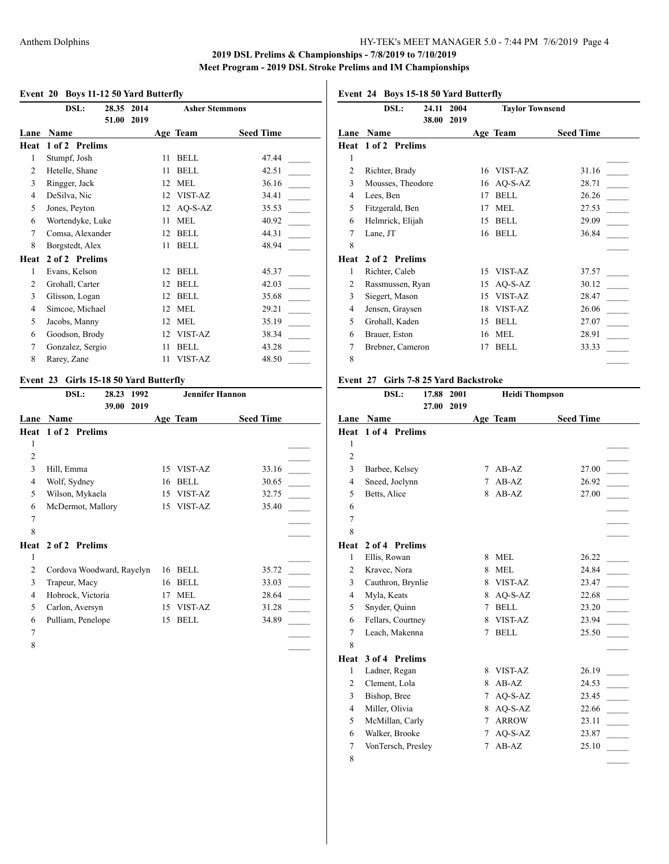### Anthem Dolphins HY-TEK's MEET MANAGER 5.0 - 7:44 PM 7/6/2019 Page 4

### **2019 DSL Prelims & Championships - 7/8/2019 to 7/10/2019 Meet Program - 2019 DSL Stroke Prelims and IM Championships**

#### **Event 20 Boys 11-12 50 Yard Butterfly**

|                | DSL:<br>28.35    | 2014 |    | <b>Asher Stemmons</b> |                  |
|----------------|------------------|------|----|-----------------------|------------------|
| Lane           | 51.00<br>Name    | 2019 |    | Age Team              | <b>Seed Time</b> |
| Heat           | 1 of 2 Prelims   |      |    |                       |                  |
| 1              | Stumpf, Josh     |      | 11 | <b>BELL</b>           | 47.44            |
| $\overline{2}$ | Hetelle, Shane   |      | 11 | <b>BELL</b>           | 42.51            |
| 3              | Ringger, Jack    |      | 12 | <b>MEL</b>            | 36.16            |
| 4              | DeSilva, Nic     |      | 12 | VIST-AZ               | 34.41            |
| 5              | Jones, Peyton    |      | 12 | $AO-S-AZ$             | 35.53            |
| 6              | Wortendyke, Luke |      | 11 | <b>MEL</b>            | 40.92            |
| 7              | Comsa, Alexander |      | 12 | <b>BELL</b>           | 44.31            |
| 8              | Borgstedt, Alex  |      | 11 | <b>BELL</b>           | 48.94            |
| Heat           | 2 of 2 Prelims   |      |    |                       |                  |
| 1              | Evans, Kelson    |      | 12 | <b>BELL</b>           | 45.37            |
| 2              | Grohall, Carter  |      | 12 | <b>BELL</b>           | 42.03            |
| 3              | Glisson, Logan   |      | 12 | <b>BELL</b>           | 35.68            |
| $\overline{4}$ | Simcoe, Michael  |      | 12 | <b>MEL</b>            | 29.21            |
| 5              | Jacobs, Manny    |      | 12 | <b>MEL</b>            | 35.19            |
| 6              | Goodson, Brody   |      | 12 | VIST-AZ               | 38.34            |
| 7              | Gonzalez, Sergio |      | 11 | <b>BELL</b>           | 43.28            |
| 8              | Rarey, Zane      |      | 11 | VIST-AZ               | 48.50            |
|                |                  |      |    |                       |                  |

#### **Event 23 Girls 15-18 50 Yard Butterfly**

|                | DSL:<br>28.23             | 1992 |    | <b>Jennifer Hannon</b> |                  |
|----------------|---------------------------|------|----|------------------------|------------------|
|                | 39.00                     | 2019 |    |                        |                  |
| Lane           | Name                      |      |    | Age Team               | <b>Seed Time</b> |
| Heat           | 1 of 2 Prelims            |      |    |                        |                  |
| 1              |                           |      |    |                        |                  |
| $\overline{2}$ |                           |      |    |                        |                  |
| 3              | Hill, Emma                |      | 15 | VIST-AZ                | 33.16            |
| 4              | Wolf, Sydney              |      | 16 | <b>BELL</b>            | 30.65            |
| 5              | Wilson, Mykaela           |      | 15 | VIST-AZ                | 32.75            |
| 6              | McDermot, Mallory         |      | 15 | VIST-AZ                | 35.40            |
| 7              |                           |      |    |                        |                  |
| 8              |                           |      |    |                        |                  |
|                | Heat 2 of 2 Prelims       |      |    |                        |                  |
| 1              |                           |      |    |                        |                  |
| 2              | Cordova Woodward, Rayelyn |      | 16 | <b>BELL</b>            | 35.72            |
| 3              | Trapeur, Macy             |      | 16 | <b>BELL</b>            | 33.03            |
| 4              | Hobrock, Victoria         |      | 17 | <b>MEL</b>             | 28.64            |
| 5              | Carlon, Aversyn           |      | 15 | VIST-AZ                | 31.28            |
| 6              | Pulliam, Penelope         |      | 15 | <b>BELL</b>            | 34.89            |
| 7              |                           |      |    |                        |                  |
| 8              |                           |      |    |                        |                  |

# **Event 24 Boys 15-18 50 Yard Butterfly**

|                | DSL:              | 24.11 | 2004 |    | <b>Taylor Townsend</b> |                  |  |
|----------------|-------------------|-------|------|----|------------------------|------------------|--|
|                |                   | 38.00 | 2019 |    |                        |                  |  |
| Lane           | Name              |       |      |    | Age Team               | <b>Seed Time</b> |  |
| Heat           | 1 of 2 Prelims    |       |      |    |                        |                  |  |
| 1              |                   |       |      |    |                        |                  |  |
| $\overline{2}$ | Richter, Brady    |       |      | 16 | VIST-AZ                | 31.16            |  |
| 3              | Mousses, Theodore |       |      | 16 | $AO-S-AZ$              | 28.71            |  |
| 4              | Lees, Ben         |       |      | 17 | <b>BELL</b>            | 26.26            |  |
| 5              | Fitzgerald, Ben   |       |      | 17 | MEL                    | 27.53            |  |
| 6              | Helmrick, Elijah  |       |      | 15 | <b>BELL</b>            | 29.09            |  |
| 7              | Lane, JT          |       |      | 16 | <b>BELL</b>            | 36.84            |  |
| 8              |                   |       |      |    |                        |                  |  |
| Heat           | 2 of 2 Prelims    |       |      |    |                        |                  |  |
| 1              | Richter, Caleb    |       |      | 15 | VIST-AZ                | 37.57            |  |
| 2              | Rassmussen, Ryan  |       |      | 15 | $AO-S-AZ$              | 30.12            |  |
| 3              | Siegert, Mason    |       |      | 15 | VIST-AZ                | 28.47            |  |
| 4              | Jensen, Graysen   |       |      | 18 | VIST-AZ                | 26.06            |  |
| 5              | Grohall, Kaden    |       |      | 15 | <b>BELL</b>            | 27.07            |  |
| 6              | Brauer, Eston     |       |      | 16 | <b>MEL</b>             | 28.91            |  |
| 7              | Brebner, Cameron  |       |      | 17 | <b>BELL</b>            | 33.33            |  |
| 8              |                   |       |      |    |                        |                  |  |
|                |                   |       |      |    |                        |                  |  |

### **Event 27 Girls 7-8 25 Yard Backstroke**

|                | DSL:               | 17.88 | 2001 |        | <b>Heidi Thompson</b> |                  |  |
|----------------|--------------------|-------|------|--------|-----------------------|------------------|--|
|                |                    | 27.00 | 2019 |        |                       |                  |  |
| Lane           | Name               |       |      |        | Age Team              | <b>Seed Time</b> |  |
| Heat           | 1 of 4 Prelims     |       |      |        |                       |                  |  |
| 1              |                    |       |      |        |                       |                  |  |
| $\overline{2}$ |                    |       |      |        |                       |                  |  |
| 3              | Barbee, Kelsey     |       |      | 7      | $AB-AZ$               | 27.00            |  |
| $\overline{4}$ | Sneed, Joclynn     |       |      | 7      | $AB-AZ$               | 26.92            |  |
| 5              | Betts, Alice       |       |      | 8      | $AB-AZ$               | 27.00            |  |
| 6              |                    |       |      |        |                       |                  |  |
| $\overline{7}$ |                    |       |      |        |                       |                  |  |
| 8              |                    |       |      |        |                       |                  |  |
| Heat           | 2 of 4 Prelims     |       |      |        |                       |                  |  |
| $\mathbf{1}$   | Ellis, Rowan       |       |      | 8      | <b>MEL</b>            | 26.22            |  |
| 2              | Kravec, Nora       |       |      | 8      | <b>MEL</b>            | 24.84            |  |
| 3              | Cauthron, Brynlie  |       |      | 8      | VIST-AZ               | 23.47            |  |
| $\overline{4}$ | Myla, Keats        |       |      | 8      | $AO-S-AZ$             | 22.68            |  |
| 5              | Snyder, Quinn      |       |      | 7      | <b>BELL</b>           | 23.20            |  |
| 6              | Fellars, Courtney  |       |      | 8      | VIST-AZ               | 23.94            |  |
| 7              | Leach, Makenna     |       |      | 7      | <b>BELL</b>           | 25.50            |  |
| 8              |                    |       |      |        |                       |                  |  |
| Heat           | 3 of 4 Prelims     |       |      |        |                       |                  |  |
| 1              | Ladner, Regan      |       |      | 8      | VIST-AZ               | 26.19            |  |
| $\overline{c}$ | Clement, Lola      |       |      | 8      | $AB-AZ$               | 24.53            |  |
| 3              | Bishop, Bree       |       |      | $\tau$ | AQ-S-AZ               | 23.45            |  |
| $\overline{4}$ | Miller, Olivia     |       |      | 8      | AQ-S-AZ               | 22.66            |  |
| 5              | McMillan, Carly    |       |      | $\tau$ | <b>ARROW</b>          | 23.11            |  |
| 6              | Walker, Brooke     |       |      | 7      | AQ-S-AZ               | 23.87            |  |
| 7              | VonTersch, Presley |       |      | 7      | $AB-AZ$               | 25.10            |  |
| 8              |                    |       |      |        |                       |                  |  |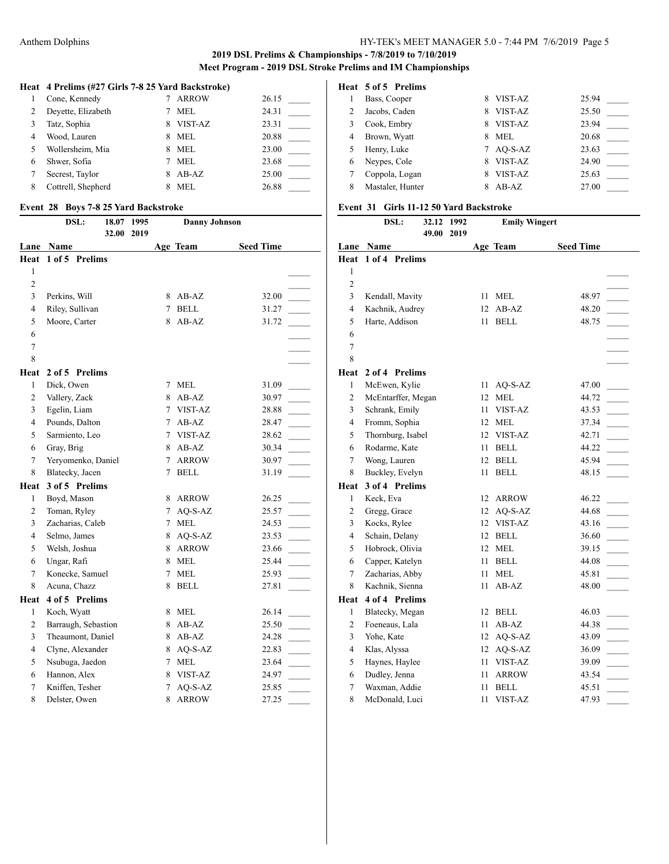### **Heat 4 Prelims (#27 Girls 7-8 25 Yard Backstroke)**

|                | Cone, Kennedy      |   | <b>ARROW</b> | 26.15 |
|----------------|--------------------|---|--------------|-------|
| 2              | Deyette, Elizabeth |   | <b>MEL</b>   | 24.31 |
| 3              | Tatz, Sophia       | 8 | VIST-AZ      | 23.31 |
| $\overline{4}$ | Wood, Lauren       | 8 | MEL          | 20.88 |
| .5             | Wollersheim, Mia   | 8 | MEL          | 23.00 |
| 6              | Shwer, Sofia       |   | <b>MEL</b>   | 23.68 |
| 7              | Secrest, Taylor    | 8 | $AB-AZ$      | 25.00 |
| 8              | Cottrell, Shepherd | 8 | <b>MEL</b>   | 26.88 |

#### **Event 28 Boys 7-8 25 Yard Backstroke**

|                | DSL:<br>18.07<br>32.00 | 1995<br>2019 |                   | <b>Danny Johnson</b> |                  |
|----------------|------------------------|--------------|-------------------|----------------------|------------------|
|                | Lane Name              |              |                   | Age Team             | <b>Seed Time</b> |
| Heat           | 1 of 5 Prelims         |              |                   |                      |                  |
| 1              |                        |              |                   |                      |                  |
| 2              |                        |              |                   |                      |                  |
| 3              | Perkins, Will          |              |                   | 8 AB-AZ              | 32.00            |
| 4              | Riley, Sullivan        |              | 7                 | <b>BELL</b>          | 31.27            |
| 5              | Moore, Carter          |              | 8                 | $AB-AZ$              | 31.72            |
| 6              |                        |              |                   |                      |                  |
| 7              |                        |              |                   |                      |                  |
| 8              |                        |              |                   |                      |                  |
| Heat           | 2 of 5 Prelims         |              |                   |                      |                  |
| 1              | Dick, Owen             |              | 7                 | MEL                  | 31.09            |
| 2              | Vallery, Zack          |              | 8                 | $AB-AZ$              | 30.97            |
| 3              | Egelin, Liam           |              | $7^{\circ}$       | VIST-AZ              | 28.88            |
| $\overline{4}$ | Pounds, Dalton         |              | $7^{\circ}$       | AB-AZ                | 28.47            |
| 5              | Sarmiento, Leo         |              | $7\overline{ }$   | VIST-AZ              | 28.62            |
| 6              | Gray, Brig             |              | 8                 | AB-AZ                | 30.34            |
| 7              | Yeryomenko, Daniel     |              | $\tau$            | <b>ARROW</b>         | 30.97            |
| 8              | Blatecky, Jacen        |              | 7                 | <b>BELL</b>          | 31.19            |
| Heat           | 3 of 5 Prelims         |              |                   |                      |                  |
| 1              | Boyd, Mason            |              | 8                 | ARROW                | 26.25            |
| 2              | Toman, Ryley           |              | $7^{\circ}$       | AQ-S-AZ              | 25.57            |
| 3              | Zacharias, Caleb       |              | $7\overline{ }$   | <b>MEL</b>           | 24.53            |
| 4              | Selmo, James           |              | 8                 | AQ-S-AZ              | 23.53            |
| 5              | Welsh, Joshua          |              | 8                 | <b>ARROW</b>         | 23.66            |
| 6              | Ungar, Rafi            |              | 8                 | <b>MEL</b>           | 25.44            |
| 7              | Konecke, Samuel        |              | 7                 | MEL                  | 25.93            |
| 8              | Acuna, Chazz           |              | 8                 | <b>BELL</b>          | 27.81            |
| Heat           | 4 of 5 Prelims         |              |                   |                      |                  |
| 1              | Koch, Wyatt            |              | 8                 | MEL                  | 26.14            |
| 2              | Barraugh, Sebastion    |              |                   | 8 AB-AZ              | 25.50            |
| 3              | Theaumont, Daniel      |              |                   | 8 AB-AZ              | 24.28            |
| 4              | Clyne, Alexander       |              |                   | 8 AQ-S-AZ            | 22.83            |
| 5              | Nsubuga, Jaedon        |              | $7\phantom{.000}$ | MEL                  | 23.64            |
| 6              | Hannon, Alex           |              |                   | 8 VIST-AZ            | 24.97            |
| 7              | Kniffen, Tesher        |              | $7^{\circ}$       | AQ-S-AZ              | 25.85            |
| 8              | Delster, Owen          |              | 8                 | <b>ARROW</b>         | 27.25            |

# **Heat 5 of 5 Prelims**

| Bass, Cooper     | 8 | VIST-AZ | 25.94   |
|------------------|---|---------|---------|
| Jacobs, Caden    | 8 | VIST-AZ | 25.50   |
| Cook, Embry      | 8 | VIST-AZ | 23.94   |
| Brown, Wyatt     | 8 | MEL.    | 20.68   |
| Henry, Luke      |   |         | 23.63   |
| Neypes, Cole     | 8 | VIST-AZ | 24.90   |
| Coppola, Logan   | 8 | VIST-AZ | 25.63   |
| Mastaler, Hunter |   | $AB-AZ$ | 27.00   |
|                  |   |         | AO-S-AZ |

#### **Event 31 Girls 11-12 50 Yard Backstroke**

|                | DSL:<br>32.12      | 1992 |    | <b>Emily Wingert</b> |                  |
|----------------|--------------------|------|----|----------------------|------------------|
|                | 49.00              | 2019 |    |                      |                  |
|                | <b>Lane Name</b>   |      |    | <b>Age Team</b>      | <b>Seed Time</b> |
| Heat           | 1 of 4 Prelims     |      |    |                      |                  |
| 1              |                    |      |    |                      |                  |
| $\overline{2}$ |                    |      |    |                      |                  |
| 3              | Kendall, Mavity    |      | 11 | <b>MEL</b>           | 48.97            |
| 4              | Kachnik, Audrey    |      | 12 | $AB-AZ$              | 48.20            |
| 5              | Harte, Addison     |      | 11 | <b>BELL</b>          | 48.75            |
| 6              |                    |      |    |                      |                  |
| $\overline{7}$ |                    |      |    |                      |                  |
| 8              |                    |      |    |                      |                  |
| Heat           | 2 of 4 Prelims     |      |    |                      |                  |
| 1              | McEwen, Kylie      |      | 11 | AQ-S-AZ              | 47.00            |
| 2              | McEntarffer, Megan |      | 12 | <b>MEL</b>           | 44.72            |
| 3              | Schrank, Emily     |      | 11 | VIST-AZ              | 43.53            |
| $\overline{4}$ | Fromm, Sophia      |      | 12 | <b>MEL</b>           | 37.34            |
| 5              | Thornburg, Isabel  |      | 12 | <b>VIST-AZ</b>       | 42.71            |
| 6              | Rodarme, Kate      |      | 11 | <b>BELL</b>          | 44.22            |
| 7              | Wong, Lauren       |      | 12 | <b>BELL</b>          | 45.94            |
| 8              | Buckley, Evelyn    |      | 11 | <b>BELL</b>          | 48.15            |
| Heat           | 3 of 4 Prelims     |      |    |                      |                  |
| 1              | Keck, Eva          |      | 12 | <b>ARROW</b>         | 46.22            |
| 2              | Gregg, Grace       |      | 12 | AQ-S-AZ              | 44.68            |
| 3              | Kocks, Rylee       |      | 12 | VIST-AZ              | 43.16            |
| $\overline{4}$ | Schain, Delany     |      | 12 | <b>BELL</b>          | 36.60            |
| 5              | Hobrock, Olivia    |      | 12 | <b>MEL</b>           | 39.15            |
| 6              | Capper, Katelyn    |      | 11 | <b>BELL</b>          | 44.08            |
| $\overline{7}$ | Zacharias, Abby    |      | 11 | <b>MEL</b>           | 45.81            |
| 8              | Kachnik, Sienna    |      | 11 | $AB-AZ$              | 48.00            |
| Heat           | 4 of 4 Prelims     |      |    |                      |                  |
| 1              | Blatecky, Megan    |      | 12 | <b>BELL</b>          | 46.03            |
| 2              | Foeneaus, Lala     |      | 11 | $AB-AZ$              | 44.38            |
| 3              | Yohe, Kate         |      | 12 | AQ-S-AZ              | 43.09            |
| 4              | Klas, Alyssa       |      | 12 | AQ-S-AZ              | 36.09            |
| 5              | Haynes, Haylee     |      | 11 | VIST-AZ              | 39.09            |
| 6              | Dudley, Jenna      |      | 11 | <b>ARROW</b>         | 43.54            |
| 7              | Waxman, Addie      |      | 11 | <b>BELL</b>          | 45.51            |
| 8              | McDonald, Luci     |      | 11 | VIST-AZ              | 47.93            |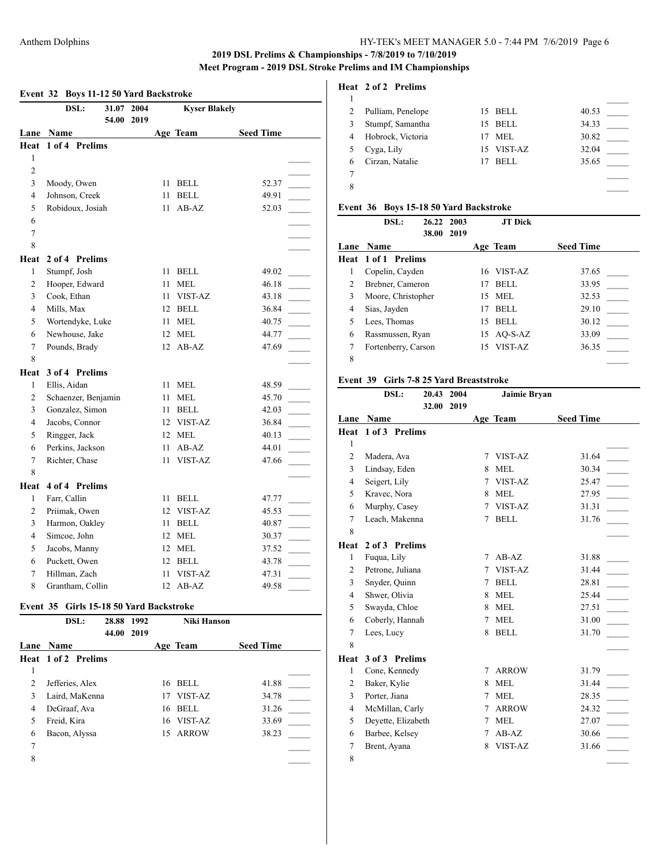# **Event 32 Boys 11-12 50 Yard Backstroke**

|                | DSL:<br>31.07 2004  |    | <b>Kyser Blakely</b> |                          |
|----------------|---------------------|----|----------------------|--------------------------|
| Lane           | 54.00 2019<br>Name  |    | Age Team             | <b>Seed Time</b>         |
| Heat           | 1 of 4 Prelims      |    |                      |                          |
| 1              |                     |    |                      |                          |
| $\overline{c}$ |                     |    |                      |                          |
| 3              | Moody, Owen         | 11 | <b>BELL</b>          | 52.37                    |
| $\overline{4}$ | Johnson, Creek      | 11 | <b>BELL</b>          | 49.91                    |
| 5              | Robidoux, Josiah    | 11 | $AB-AZ$              | 52.03                    |
| 6              |                     |    |                      |                          |
| $\overline{7}$ |                     |    |                      |                          |
| 8              |                     |    |                      |                          |
| Heat           | 2 of 4 Prelims      |    |                      |                          |
| 1              | Stumpf, Josh        | 11 | <b>BELL</b>          | 49.02                    |
| 2              | Hooper, Edward      | 11 | MEL                  | 46.18                    |
| 3              | Cook, Ethan         | 11 | VIST-AZ              | 43.18                    |
| $\overline{4}$ | Mills, Max          |    | 12 BELL              | 36.84                    |
| 5              | Wortendyke, Luke    | 11 | <b>MEL</b>           | 40.75<br>$\sim$          |
| 6              | Newhouse, Jake      | 12 | <b>MEL</b>           | 44.77                    |
| $\overline{7}$ | Pounds, Brady       | 12 | $AB-AZ$              | 47.69                    |
| 8              |                     |    |                      |                          |
| Heat           | 3 of 4 Prelims      |    |                      |                          |
| $\mathbf{1}$   | Ellis, Aidan        | 11 | <b>MEL</b>           | 48.59                    |
| $\overline{2}$ | Schaenzer, Benjamin | 11 | <b>MEL</b>           | 45.70                    |
| 3              | Gonzalez, Simon     | 11 | <b>BELL</b>          | 42.03                    |
| $\overline{4}$ | Jacobs, Connor      | 12 | VIST-AZ              | 36.84<br>$\sim$          |
| 5              | Ringger, Jack       | 12 | <b>MEL</b>           | 40.13                    |
| 6              | Perkins, Jackson    | 11 | $AB-AZ$              | 44.01                    |
| $\overline{7}$ | Richter, Chase      | 11 | VIST-AZ              | 47.66                    |
| 8              |                     |    |                      |                          |
| Heat           | 4 of 4 Prelims      |    |                      |                          |
| $\mathbf{1}$   | Farr, Callin        | 11 | <b>BELL</b>          | 47.77                    |
| $\overline{2}$ | Priimak, Owen       | 12 | VIST-AZ              | 45.53                    |
| 3              | Harmon, Oakley      | 11 | <b>BELL</b>          | 40.87<br>$\sim 10^{-11}$ |
| $\overline{4}$ | Simcoe, John        | 12 | <b>MEL</b>           | 30.37                    |
| 5              | Jacobs, Manny       | 12 | <b>MEL</b>           | 37.52                    |
| 6              | Puckett, Owen       | 12 | <b>BELL</b>          | 43.78                    |
| $\overline{7}$ | Hillman, Zach       | 11 | VIST-AZ              | 47.31                    |
| 8              | Grantham, Collin    | 12 | $AB-AZ$              | 49.58                    |

### **Event 35 Girls 15-18 50 Yard Backstroke**

|      | DSL:                       | 28.88 1992<br>44.00 | 2019 |    | <b>Niki Hanson</b> |                  |  |
|------|----------------------------|---------------------|------|----|--------------------|------------------|--|
| Lane | <b>Name</b>                |                     |      |    | Age Team           | <b>Seed Time</b> |  |
|      | <b>Heat 1 of 2 Prelims</b> |                     |      |    |                    |                  |  |
| 1    |                            |                     |      |    |                    |                  |  |
| 2    | Jefferies, Alex            |                     |      |    | 16 BELL            | 41.88            |  |
| 3    | Laird, MaKenna             |                     |      | 17 | VIST-AZ            | 34.78            |  |
| 4    | DeGraaf, Ava               |                     |      | 16 | BELL               | 31.26            |  |
| 5    | Freid, Kira                |                     |      |    | 16 VIST-AZ         | 33.69            |  |
| 6    | Bacon, Alyssa              |                     |      |    | 15 ARROW           | 38.23            |  |
| 7    |                            |                     |      |    |                    |                  |  |
| 8    |                            |                     |      |    |                    |                  |  |
|      |                            |                     |      |    |                    |                  |  |

# **Heat 2 of 2 Prelims**

|   | Pulliam, Penelope | 15 BELL     | 40.53 |  |
|---|-------------------|-------------|-------|--|
|   | Stumpf, Samantha  | 15 BELL     | 34.33 |  |
|   | Hobrock, Victoria | MEL.        | 30.82 |  |
|   | Cyga, Lily        | 15 VIST-AZ  | 32.04 |  |
| 6 | Cirzan, Natalie   | <b>BELL</b> | 35.65 |  |
|   |                   |             |       |  |
| 8 |                   |             |       |  |
|   |                   |             |       |  |

### **Event 36 Boys 15-18 50 Yard Backstroke**

|   | DSL:                       | 26.22 2003<br>38.00 2019 |    | <b>JT</b> Dick |                  |
|---|----------------------------|--------------------------|----|----------------|------------------|
|   | <b>Lane Name</b>           |                          |    | Age Team       | <b>Seed Time</b> |
|   | <b>Heat 1 of 1 Prelims</b> |                          |    |                |                  |
|   | Copelin, Cayden            |                          |    | 16 VIST-AZ     | 37.65            |
| 2 | Brebner, Cameron           |                          | 17 | <b>BELL</b>    | 33.95            |
| 3 | Moore, Christopher         |                          |    | 15 MEL         | 32.53            |
| 4 | Sias, Jayden               |                          | 17 | <b>BELL</b>    | 29.10            |
| 5 | Lees, Thomas               |                          | 15 | <b>BELL</b>    | 30.12            |
| 6 | Rassmussen, Ryan           |                          |    | 15 AO-S-AZ     | 33.09            |
| 7 | Fortenberry, Carson        |                          |    | 15 VIST-AZ     | 36.35            |
| 8 |                            |                          |    |                |                  |

#### **Event 39 Girls 7-8 25 Yard Breaststroke**

|                | DSL:               | 20.43      | 2004 |   | Jaimie Bryan |                  |
|----------------|--------------------|------------|------|---|--------------|------------------|
|                |                    | 32.00 2019 |      |   |              |                  |
| Lane           | Name               |            |      |   | Age Team     | <b>Seed Time</b> |
| Heat           | 1 of 3 Prelims     |            |      |   |              |                  |
| 1              |                    |            |      |   |              |                  |
| $\overline{2}$ | Madera, Ava        |            |      |   | 7 VIST-AZ    | 31.64            |
| 3              | Lindsay, Eden      |            |      | 8 | MEL          | 30.34            |
| 4              | Seigert, Lily      |            |      |   | 7 VIST-AZ    | 25.47            |
| 5              | Kravec, Nora       |            |      |   | 8 MEL        | 27.95            |
| 6              | Murphy, Casey      |            |      | 7 | VIST-AZ      | 31.31            |
| 7              | Leach, Makenna     |            |      | 7 | <b>BELL</b>  | 31.76            |
| 8              |                    |            |      |   |              |                  |
| Heat           | 2 of 3 Prelims     |            |      |   |              |                  |
| 1              | Fuqua, Lily        |            |      | 7 | $AB-AZ$      | 31.88            |
| 2              | Petrone, Juliana   |            |      | 7 | VIST-AZ      | 31.44            |
| 3              | Snyder, Quinn      |            |      | 7 | <b>BELL</b>  | 28.81            |
| 4              | Shwer, Olivia      |            |      | 8 | <b>MEL</b>   | 25.44            |
| 5              | Swayda, Chloe      |            |      | 8 | MEL          | 27.51            |
| 6              | Coberly, Hannah    |            |      | 7 | <b>MEL</b>   | 31.00            |
| 7              | Lees, Lucy         |            |      | 8 | <b>BELL</b>  | 31.70            |
| 8              |                    |            |      |   |              |                  |
| Heat           | 3 of 3 Prelims     |            |      |   |              |                  |
| 1              | Cone, Kennedy      |            |      | 7 | <b>ARROW</b> | 31.79            |
| 2              | Baker, Kylie       |            |      | 8 | MEL          | 31.44            |
| 3              | Porter, Jiana      |            |      | 7 | <b>MEL</b>   | 28.35            |
| $\overline{4}$ | McMillan, Carly    |            |      | 7 | <b>ARROW</b> | 24.32            |
| 5              | Devette, Elizabeth |            |      | 7 | <b>MEL</b>   | 27.07            |
| 6              | Barbee, Kelsey     |            |      | 7 | $AB-AZ$      | 30.66            |
| 7              | Brent, Ayana       |            |      | 8 | VIST-AZ      | 31.66            |
| 8              |                    |            |      |   |              |                  |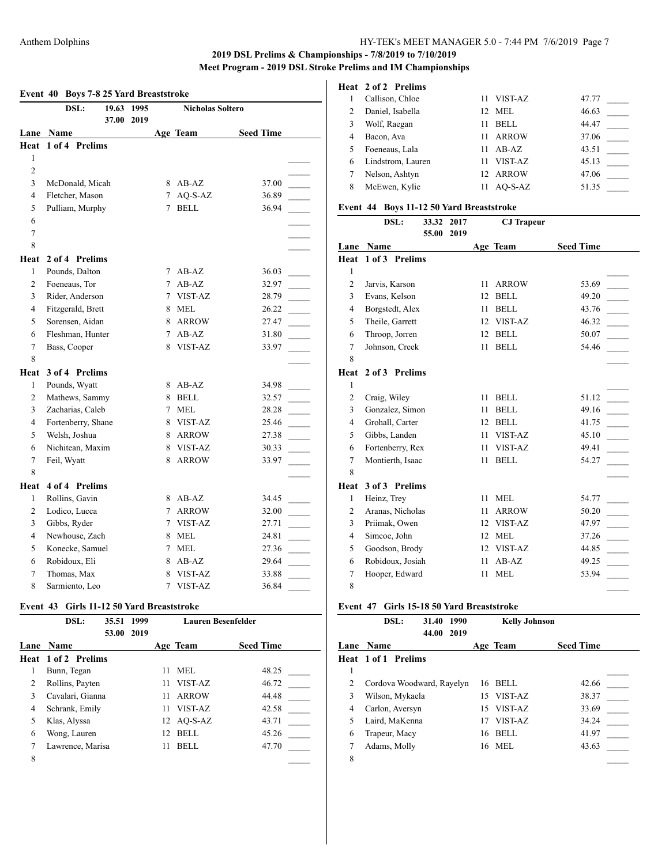| DSL:<br>19.63<br>1995<br><b>Nicholas Soltero</b><br>37.00<br>2019<br>Age Team<br><b>Seed Time</b><br>Name<br>$1$ of $4$<br><b>Prelims</b><br>1<br>2<br>3<br>McDonald, Micah<br>8 AB-AZ<br>37.00<br>$\overline{4}$<br>Fletcher, Mason<br>AQ-S-AZ<br>$7^{\circ}$<br>36.89<br>5<br>Pulliam, Murphy<br><b>BELL</b><br>7<br>36.94<br>6<br>$\tau$<br>8<br>2 of 4 Prelims<br>1<br>Pounds, Dalton<br>7<br>AB-AZ<br>36.03<br>2<br>$AB-AZ$<br>Foeneaus, Tor<br>$\tau$<br>32.97<br>3<br>Rider, Anderson<br>VIST-AZ<br>7<br>28.79<br>Fitzgerald, Brett<br>$\overline{4}$<br>8<br><b>MEL</b><br>26.22<br>5<br>Sorensen, Aidan<br><b>ARROW</b><br>8<br>27.47<br>Fleshman, Hunter<br>6<br>$AB-AZ$<br>31.80<br>7<br>$\overline{7}$<br>VIST-AZ<br>Bass, Cooper<br>8<br>33.97<br>8<br>3 of 4 Prelims<br>Pounds, Wyatt<br>1<br>AB-AZ<br>34.98<br>8<br>2<br>Mathews, Sammy<br><b>BELL</b><br>8<br>32.57<br>3<br>Zacharias, Caleb<br><b>MEL</b><br>7<br>28.28<br>$\overline{4}$<br>Fortenberry, Shane<br>VIST-AZ<br>25.46<br>8<br>5<br>Welsh, Joshua<br><b>ARROW</b><br>8<br>27.38<br>6<br>Nichitean, Maxim<br>VIST-AZ<br>8<br>30.33<br>$\overline{7}$<br>Feil, Wyatt<br>8<br><b>ARROW</b><br>33.97<br>8<br>4 of 4 Prelims<br>1<br>Rollins, Gavin<br>AB-AZ<br>34.45<br>8<br>$\overline{2}$<br>Lodico, Lucca<br><b>ARROW</b><br>7<br>32.00<br>Gibbs, Ryder<br>3<br>VIST-AZ<br>7<br>27.71<br>$\overline{4}$<br>Newhouse, Zach<br>8 MEL<br>24.81<br>5<br>Konecke, Samuel<br>7 MEL<br>27.36<br>6<br>Robidoux, Eli<br>$AB-AZ$<br>29.64<br>8<br>7<br>Thomas, Max<br>VIST-AZ<br>33.88<br>8<br>8<br>VIST-AZ<br>Sarmiento, Leo<br>7<br>36.84 |      | Event 40 Boys 7-8 25 Yard Breaststroke |  |  |  |
|----------------------------------------------------------------------------------------------------------------------------------------------------------------------------------------------------------------------------------------------------------------------------------------------------------------------------------------------------------------------------------------------------------------------------------------------------------------------------------------------------------------------------------------------------------------------------------------------------------------------------------------------------------------------------------------------------------------------------------------------------------------------------------------------------------------------------------------------------------------------------------------------------------------------------------------------------------------------------------------------------------------------------------------------------------------------------------------------------------------------------------------------------------------------------------------------------------------------------------------------------------------------------------------------------------------------------------------------------------------------------------------------------------------------------------------------------------------------------------------------------------------------------------------------------------------------------------------------------------------|------|----------------------------------------|--|--|--|
|                                                                                                                                                                                                                                                                                                                                                                                                                                                                                                                                                                                                                                                                                                                                                                                                                                                                                                                                                                                                                                                                                                                                                                                                                                                                                                                                                                                                                                                                                                                                                                                                                |      |                                        |  |  |  |
|                                                                                                                                                                                                                                                                                                                                                                                                                                                                                                                                                                                                                                                                                                                                                                                                                                                                                                                                                                                                                                                                                                                                                                                                                                                                                                                                                                                                                                                                                                                                                                                                                |      |                                        |  |  |  |
|                                                                                                                                                                                                                                                                                                                                                                                                                                                                                                                                                                                                                                                                                                                                                                                                                                                                                                                                                                                                                                                                                                                                                                                                                                                                                                                                                                                                                                                                                                                                                                                                                | Lane |                                        |  |  |  |
|                                                                                                                                                                                                                                                                                                                                                                                                                                                                                                                                                                                                                                                                                                                                                                                                                                                                                                                                                                                                                                                                                                                                                                                                                                                                                                                                                                                                                                                                                                                                                                                                                | Heat |                                        |  |  |  |
|                                                                                                                                                                                                                                                                                                                                                                                                                                                                                                                                                                                                                                                                                                                                                                                                                                                                                                                                                                                                                                                                                                                                                                                                                                                                                                                                                                                                                                                                                                                                                                                                                |      |                                        |  |  |  |
|                                                                                                                                                                                                                                                                                                                                                                                                                                                                                                                                                                                                                                                                                                                                                                                                                                                                                                                                                                                                                                                                                                                                                                                                                                                                                                                                                                                                                                                                                                                                                                                                                |      |                                        |  |  |  |
|                                                                                                                                                                                                                                                                                                                                                                                                                                                                                                                                                                                                                                                                                                                                                                                                                                                                                                                                                                                                                                                                                                                                                                                                                                                                                                                                                                                                                                                                                                                                                                                                                |      |                                        |  |  |  |
|                                                                                                                                                                                                                                                                                                                                                                                                                                                                                                                                                                                                                                                                                                                                                                                                                                                                                                                                                                                                                                                                                                                                                                                                                                                                                                                                                                                                                                                                                                                                                                                                                |      |                                        |  |  |  |
|                                                                                                                                                                                                                                                                                                                                                                                                                                                                                                                                                                                                                                                                                                                                                                                                                                                                                                                                                                                                                                                                                                                                                                                                                                                                                                                                                                                                                                                                                                                                                                                                                |      |                                        |  |  |  |
|                                                                                                                                                                                                                                                                                                                                                                                                                                                                                                                                                                                                                                                                                                                                                                                                                                                                                                                                                                                                                                                                                                                                                                                                                                                                                                                                                                                                                                                                                                                                                                                                                |      |                                        |  |  |  |
|                                                                                                                                                                                                                                                                                                                                                                                                                                                                                                                                                                                                                                                                                                                                                                                                                                                                                                                                                                                                                                                                                                                                                                                                                                                                                                                                                                                                                                                                                                                                                                                                                |      |                                        |  |  |  |
|                                                                                                                                                                                                                                                                                                                                                                                                                                                                                                                                                                                                                                                                                                                                                                                                                                                                                                                                                                                                                                                                                                                                                                                                                                                                                                                                                                                                                                                                                                                                                                                                                |      |                                        |  |  |  |
|                                                                                                                                                                                                                                                                                                                                                                                                                                                                                                                                                                                                                                                                                                                                                                                                                                                                                                                                                                                                                                                                                                                                                                                                                                                                                                                                                                                                                                                                                                                                                                                                                | Heat |                                        |  |  |  |
|                                                                                                                                                                                                                                                                                                                                                                                                                                                                                                                                                                                                                                                                                                                                                                                                                                                                                                                                                                                                                                                                                                                                                                                                                                                                                                                                                                                                                                                                                                                                                                                                                |      |                                        |  |  |  |
|                                                                                                                                                                                                                                                                                                                                                                                                                                                                                                                                                                                                                                                                                                                                                                                                                                                                                                                                                                                                                                                                                                                                                                                                                                                                                                                                                                                                                                                                                                                                                                                                                |      |                                        |  |  |  |
|                                                                                                                                                                                                                                                                                                                                                                                                                                                                                                                                                                                                                                                                                                                                                                                                                                                                                                                                                                                                                                                                                                                                                                                                                                                                                                                                                                                                                                                                                                                                                                                                                |      |                                        |  |  |  |
|                                                                                                                                                                                                                                                                                                                                                                                                                                                                                                                                                                                                                                                                                                                                                                                                                                                                                                                                                                                                                                                                                                                                                                                                                                                                                                                                                                                                                                                                                                                                                                                                                |      |                                        |  |  |  |
|                                                                                                                                                                                                                                                                                                                                                                                                                                                                                                                                                                                                                                                                                                                                                                                                                                                                                                                                                                                                                                                                                                                                                                                                                                                                                                                                                                                                                                                                                                                                                                                                                |      |                                        |  |  |  |
|                                                                                                                                                                                                                                                                                                                                                                                                                                                                                                                                                                                                                                                                                                                                                                                                                                                                                                                                                                                                                                                                                                                                                                                                                                                                                                                                                                                                                                                                                                                                                                                                                |      |                                        |  |  |  |
|                                                                                                                                                                                                                                                                                                                                                                                                                                                                                                                                                                                                                                                                                                                                                                                                                                                                                                                                                                                                                                                                                                                                                                                                                                                                                                                                                                                                                                                                                                                                                                                                                |      |                                        |  |  |  |
|                                                                                                                                                                                                                                                                                                                                                                                                                                                                                                                                                                                                                                                                                                                                                                                                                                                                                                                                                                                                                                                                                                                                                                                                                                                                                                                                                                                                                                                                                                                                                                                                                |      |                                        |  |  |  |
|                                                                                                                                                                                                                                                                                                                                                                                                                                                                                                                                                                                                                                                                                                                                                                                                                                                                                                                                                                                                                                                                                                                                                                                                                                                                                                                                                                                                                                                                                                                                                                                                                | Heat |                                        |  |  |  |
|                                                                                                                                                                                                                                                                                                                                                                                                                                                                                                                                                                                                                                                                                                                                                                                                                                                                                                                                                                                                                                                                                                                                                                                                                                                                                                                                                                                                                                                                                                                                                                                                                |      |                                        |  |  |  |
|                                                                                                                                                                                                                                                                                                                                                                                                                                                                                                                                                                                                                                                                                                                                                                                                                                                                                                                                                                                                                                                                                                                                                                                                                                                                                                                                                                                                                                                                                                                                                                                                                |      |                                        |  |  |  |
|                                                                                                                                                                                                                                                                                                                                                                                                                                                                                                                                                                                                                                                                                                                                                                                                                                                                                                                                                                                                                                                                                                                                                                                                                                                                                                                                                                                                                                                                                                                                                                                                                |      |                                        |  |  |  |
|                                                                                                                                                                                                                                                                                                                                                                                                                                                                                                                                                                                                                                                                                                                                                                                                                                                                                                                                                                                                                                                                                                                                                                                                                                                                                                                                                                                                                                                                                                                                                                                                                |      |                                        |  |  |  |
|                                                                                                                                                                                                                                                                                                                                                                                                                                                                                                                                                                                                                                                                                                                                                                                                                                                                                                                                                                                                                                                                                                                                                                                                                                                                                                                                                                                                                                                                                                                                                                                                                |      |                                        |  |  |  |
|                                                                                                                                                                                                                                                                                                                                                                                                                                                                                                                                                                                                                                                                                                                                                                                                                                                                                                                                                                                                                                                                                                                                                                                                                                                                                                                                                                                                                                                                                                                                                                                                                |      |                                        |  |  |  |
|                                                                                                                                                                                                                                                                                                                                                                                                                                                                                                                                                                                                                                                                                                                                                                                                                                                                                                                                                                                                                                                                                                                                                                                                                                                                                                                                                                                                                                                                                                                                                                                                                |      |                                        |  |  |  |
|                                                                                                                                                                                                                                                                                                                                                                                                                                                                                                                                                                                                                                                                                                                                                                                                                                                                                                                                                                                                                                                                                                                                                                                                                                                                                                                                                                                                                                                                                                                                                                                                                |      |                                        |  |  |  |
|                                                                                                                                                                                                                                                                                                                                                                                                                                                                                                                                                                                                                                                                                                                                                                                                                                                                                                                                                                                                                                                                                                                                                                                                                                                                                                                                                                                                                                                                                                                                                                                                                | Heat |                                        |  |  |  |
|                                                                                                                                                                                                                                                                                                                                                                                                                                                                                                                                                                                                                                                                                                                                                                                                                                                                                                                                                                                                                                                                                                                                                                                                                                                                                                                                                                                                                                                                                                                                                                                                                |      |                                        |  |  |  |
|                                                                                                                                                                                                                                                                                                                                                                                                                                                                                                                                                                                                                                                                                                                                                                                                                                                                                                                                                                                                                                                                                                                                                                                                                                                                                                                                                                                                                                                                                                                                                                                                                |      |                                        |  |  |  |
|                                                                                                                                                                                                                                                                                                                                                                                                                                                                                                                                                                                                                                                                                                                                                                                                                                                                                                                                                                                                                                                                                                                                                                                                                                                                                                                                                                                                                                                                                                                                                                                                                |      |                                        |  |  |  |
|                                                                                                                                                                                                                                                                                                                                                                                                                                                                                                                                                                                                                                                                                                                                                                                                                                                                                                                                                                                                                                                                                                                                                                                                                                                                                                                                                                                                                                                                                                                                                                                                                |      |                                        |  |  |  |
|                                                                                                                                                                                                                                                                                                                                                                                                                                                                                                                                                                                                                                                                                                                                                                                                                                                                                                                                                                                                                                                                                                                                                                                                                                                                                                                                                                                                                                                                                                                                                                                                                |      |                                        |  |  |  |
|                                                                                                                                                                                                                                                                                                                                                                                                                                                                                                                                                                                                                                                                                                                                                                                                                                                                                                                                                                                                                                                                                                                                                                                                                                                                                                                                                                                                                                                                                                                                                                                                                |      |                                        |  |  |  |
|                                                                                                                                                                                                                                                                                                                                                                                                                                                                                                                                                                                                                                                                                                                                                                                                                                                                                                                                                                                                                                                                                                                                                                                                                                                                                                                                                                                                                                                                                                                                                                                                                |      |                                        |  |  |  |
|                                                                                                                                                                                                                                                                                                                                                                                                                                                                                                                                                                                                                                                                                                                                                                                                                                                                                                                                                                                                                                                                                                                                                                                                                                                                                                                                                                                                                                                                                                                                                                                                                |      |                                        |  |  |  |

# **Event 43 Girls 11-12 50 Yard Breaststroke**

| DSL:            | 35.51 | 1999                                                                        |      | <b>Lauren Besenfelder</b> |                               |  |  |
|-----------------|-------|-----------------------------------------------------------------------------|------|---------------------------|-------------------------------|--|--|
| <b>Name</b>     |       |                                                                             |      |                           | <b>Seed Time</b>              |  |  |
|                 |       |                                                                             |      |                           |                               |  |  |
| Bunn, Tegan     |       |                                                                             | 11   | MEL.                      | 48.25                         |  |  |
| Rollins, Payten |       |                                                                             | 11   | VIST-AZ                   | 46.72                         |  |  |
|                 |       |                                                                             | 11   | <b>ARROW</b>              | 44.48                         |  |  |
| Schrank, Emily  |       |                                                                             |      | VIST-AZ                   | 42.58                         |  |  |
| Klas, Alyssa    |       |                                                                             |      |                           | 43.71                         |  |  |
| Wong, Lauren    |       |                                                                             | 12   | <b>BELL</b>               | 45.26                         |  |  |
|                 |       |                                                                             | 11   | <b>BELL</b>               | 47.70                         |  |  |
|                 |       |                                                                             |      |                           |                               |  |  |
|                 |       | 53.00<br><b>Heat 1 of 2 Prelims</b><br>Cavalari, Gianna<br>Lawrence, Marisa | 2019 |                           | Age Team<br>11.<br>12 AO-S-AZ |  |  |

#### **Heat 2 of 2 Prelims**

|   | Callison, Chloe   |                 | VIST-AZ      | 47.77 |
|---|-------------------|-----------------|--------------|-------|
|   | Daniel, Isabella  | 12 <sup>2</sup> | MEL.         | 46.63 |
| 3 | Wolf, Raegan      | 11              | <b>BELL</b>  | 44.47 |
| 4 | Bacon, Ava        | 11              | <b>ARROW</b> | 37.06 |
|   | Foeneaus, Lala    | 11              | $AB-AZ$      | 43.51 |
| 6 | Lindstrom, Lauren | 11              | VIST-AZ      | 45.13 |
|   | Nelson, Ashtyn    | 12.             | ARROW        | 47.06 |
| 8 | McEwen, Kylie     |                 | $AO-S-AZ$    | 51.35 |

### **Event 44 Boys 11-12 50 Yard Breaststroke**

|                | DSL:             | 33.32 | 2017 |    | <b>CJ</b> Trapeur |                  |  |
|----------------|------------------|-------|------|----|-------------------|------------------|--|
|                | <b>Lane Name</b> | 55.00 | 2019 |    | Age Team          | <b>Seed Time</b> |  |
| Heat           | 1 of 3 Prelims   |       |      |    |                   |                  |  |
| 1              |                  |       |      |    |                   |                  |  |
| $\overline{2}$ | Jarvis, Karson   |       |      | 11 | <b>ARROW</b>      | 53.69            |  |
| 3              | Evans, Kelson    |       |      | 12 | <b>BELL</b>       | 49.20            |  |
| 4              | Borgstedt, Alex  |       |      | 11 | <b>BELL</b>       | 43.76            |  |
| 5              | Theile, Garrett  |       |      | 12 | VIST-AZ           | 46.32            |  |
| 6              | Throop, Jorren   |       |      | 12 | <b>BELL</b>       | 50.07            |  |
| 7              | Johnson, Creek   |       |      | 11 | <b>BELL</b>       | 54.46            |  |
| 8              |                  |       |      |    |                   |                  |  |
| Heat           | 2 of 3 Prelims   |       |      |    |                   |                  |  |
| 1              |                  |       |      |    |                   |                  |  |
| $\overline{2}$ | Craig, Wiley     |       |      | 11 | <b>BELL</b>       | 51.12            |  |
| 3              | Gonzalez, Simon  |       |      | 11 | <b>BELL</b>       | 49.16            |  |
| $\overline{4}$ | Grohall, Carter  |       |      | 12 | <b>BELL</b>       | 41.75            |  |
| 5              | Gibbs, Landen    |       |      | 11 | VIST-AZ           | 45.10            |  |
| 6              | Fortenberry, Rex |       |      | 11 | VIST-AZ           | 49.41            |  |
| 7              | Montierth, Isaac |       |      | 11 | <b>BELL</b>       | 54.27            |  |
| 8              |                  |       |      |    |                   |                  |  |
| Heat           | 3 of 3 Prelims   |       |      |    |                   |                  |  |
| 1              | Heinz, Trey      |       |      | 11 | <b>MEL</b>        | 54.77            |  |
| $\overline{2}$ | Aranas, Nicholas |       |      | 11 | <b>ARROW</b>      | 50.20            |  |
| 3              | Priimak, Owen    |       |      | 12 | VIST-AZ           | 47.97            |  |
| 4              | Simcoe, John     |       |      | 12 | <b>MEL</b>        | 37.26            |  |
| 5              | Goodson, Brody   |       |      | 12 | VIST-AZ           | 44.85            |  |
| 6              | Robidoux, Josiah |       |      | 11 | $AB-AZ$           | 49.25            |  |
| 7              | Hooper, Edward   |       |      | 11 | <b>MEL</b>        | 53.94            |  |
| 8              |                  |       |      |    |                   |                  |  |

#### **Event 47 Girls 15-18 50 Yard Breaststroke**

|   | DSL:                       | 31.40      | 1990 |    | <b>Kelly Johnson</b> |                  |
|---|----------------------------|------------|------|----|----------------------|------------------|
|   |                            | 44.00 2019 |      |    |                      |                  |
|   | Lane Name                  |            |      |    | Age Team             | <b>Seed Time</b> |
|   | <b>Heat 1 of 1 Prelims</b> |            |      |    |                      |                  |
| 1 |                            |            |      |    |                      |                  |
| 2 | Cordova Woodward, Rayelyn  |            |      | 16 | <b>BELL</b>          | 42.66            |
| 3 | Wilson, Mykaela            |            |      |    | 15 VIST-AZ           | 38.37            |
| 4 | Carlon, Aversyn            |            |      |    | 15 VIST-AZ           | 33.69            |
| 5 | Laird, MaKenna             |            |      | 17 | VIST-AZ              | 34.24            |
| 6 | Trapeur, Macy              |            |      | 16 | BELL                 | 41.97            |
|   | Adams, Molly               |            |      |    | 16 MEL               | 43.63            |
| 8 |                            |            |      |    |                      |                  |